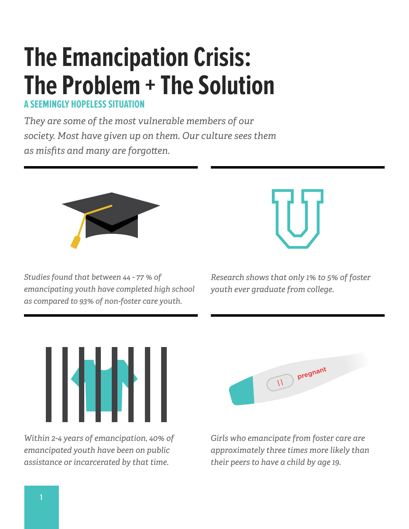# **The Emancipation Crisis: The Problem + The Solution**

**A SEEMINGLY HOPELESS SITUATE** 

*They are some of the most vulnerable members of our society. Most have given up on them. Our culture sees them as misfits and many are forgoten.* 



*Studies found that between 44 - 77 % of emancipating youth have completed high school as compared to 93% of non-foster care youth.*



*Research shows that only 1% to 5% of foster youth ever graduate from college.*



*Within 2-4 years of emancipation, 40% of emancipated youth have been on public assistance or incarcerated by that time.* 



*Girls who emancipate from foster care are approximately three times more likely than their peers to have a child by age 19.*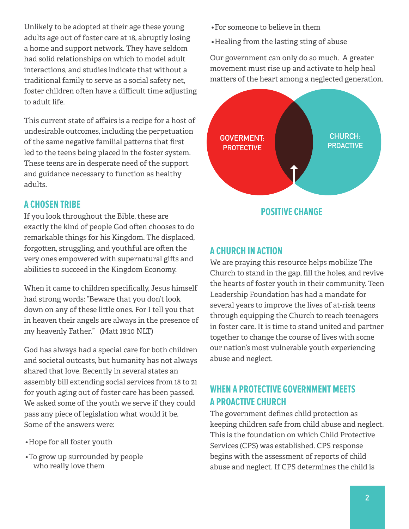Unlikely to be adopted at their age these young adults age out of foster care at 18, abruptly losing a home and support network. They have seldom had solid relationships on which to model adult interactions, and studies indicate that without a traditional family to serve as a social safety net, foster children often have a difficult time adjusting to adult life.

This current state of affairs is a recipe for a host of undesirable outcomes, including the perpetuation of the same negative familial paterns that first led to the teens being placed in the foster system. These teens are in desperate need of the support and guidance necessary to function as healthy adults.

## **A CHOSEN TRIBE**

If you look throughout the Bible, these are exactly the kind of people God ofen chooses to do remarkable things for his Kingdom. The displaced, forgotten, struggling, and youthful are often the very ones empowered with supernatural gifs and abilities to succeed in the Kingdom Economy.

When it came to children specifically, Jesus himself had strong words: "Beware that you don't look down on any of these little ones. For I tell you that in heaven their angels are always in the presence of my heavenly Father." (Matt 18:10 NLT)

God has always had a special care for both children and societal outcasts, but humanity has not always shared that love. Recently in several states an assembly bill extending social services from 18 to 21 for youth aging out of foster care has been passed. We asked some of the youth we serve if they could pass any piece of legislation what would it be. Some of the answers were:

- Hope for all foster youth
- To grow up surrounded by people who really love them
- For someone to believe in them
- Healing from the lasting sting of abuse

Our government can only do so much. A greater movement must rise up and activate to help heal matters of the heart among a neglected generation.



#### **A CHURCH IN ACTION**

We are praying this resource helps mobilize The Church to stand in the gap, fill the holes, and revive the hearts of foster youth in their community. Teen Leadership Foundation has had a mandate for several years to improve the lives of at-risk teens through equipping the Church to reach teenagers in foster care. It is time to stand united and partner together to change the course of lives with some our nation's most vulnerable youth experiencing abuse and neglect.

# **WHEN A PROTECTIVE GOVERNMENT MEETS A PROACTIVE CHURCH**

The government defines child protection as keeping children safe from child abuse and neglect. This is the foundation on which Child Protective Services (CPS) was established. CPS response begins with the assessment of reports of child abuse and neglect. If CPS determines the child is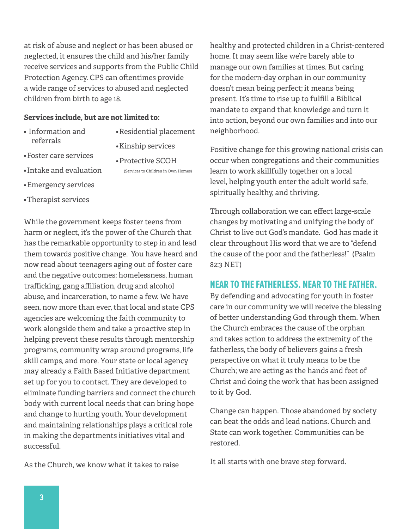at risk of abuse and neglect or has been abused or neglected, it ensures the child and his/her family receive services and supports from the Public Child Protection Agency. CPS can ofentimes provide a wide range of services to abused and neglected children from birth to age 18.

#### **Services include, but are not limited to:**

- Information and referrals
- Residential placement
- Foster care services
- Protective SCOH

(Services to Children in Own Homes)

• Kinship services

- Intake and evaluation
- Emergency services
- Therapist services

While the government keeps foster teens from harm or neglect, it's the power of the Church that has the remarkable opportunity to step in and lead them towards positive change. You have heard and now read about teenagers aging out of foster care and the negative outcomes: homelessness, human trafficking, gang affiliation, drug and alcohol abuse, and incarceration, to name a few. We have seen, now more than ever, that local and state CPS agencies are welcoming the faith community to work alongside them and take a proactive step in helping prevent these results through mentorship programs, community wrap around programs, life skill camps, and more. Your state or local agency may already a Faith Based Initiative department set up for you to contact. They are developed to eliminate funding barriers and connect the church body with current local needs that can bring hope and change to hurting youth. Your development and maintaining relationships plays a critical role in making the departments initiatives vital and successful.

As the Church, we know what it takes to raise

healthy and protected children in a Christ-centered home. It may seem like we're barely able to manage our own families at times. But caring for the modern-day orphan in our community doesn't mean being perfect; it means being present. It's time to rise up to fulfill a Biblical mandate to expand that knowledge and turn it into action, beyond our own families and into our neighborhood.

Positive change for this growing national crisis can occur when congregations and their communities learn to work skillfully together on a local level, helping youth enter the adult world safe, spiritually healthy, and thriving.

Through collaboration we can effect large-scale changes by motivating and unifying the body of Christ to live out God's mandate. God has made it clear throughout His word that we are to "defend the cause of the poor and the fatherless!" (Psalm 82:3 NET)

#### **NEAR TO THE FATHERLESS. NEAR TO THE FATHER.**

By defending and advocating for youth in foster care in our community we will receive the blessing of beter understanding God through them. When the Church embraces the cause of the orphan and takes action to address the extremity of the fatherless, the body of believers gains a fresh perspective on what it truly means to be the Church; we are acting as the hands and feet of Christ and doing the work that has been assigned to it by God.

Change can happen. Those abandoned by society can beat the odds and lead nations. Church and State can work together. Communities can be restored.

It all starts with one brave step forward.